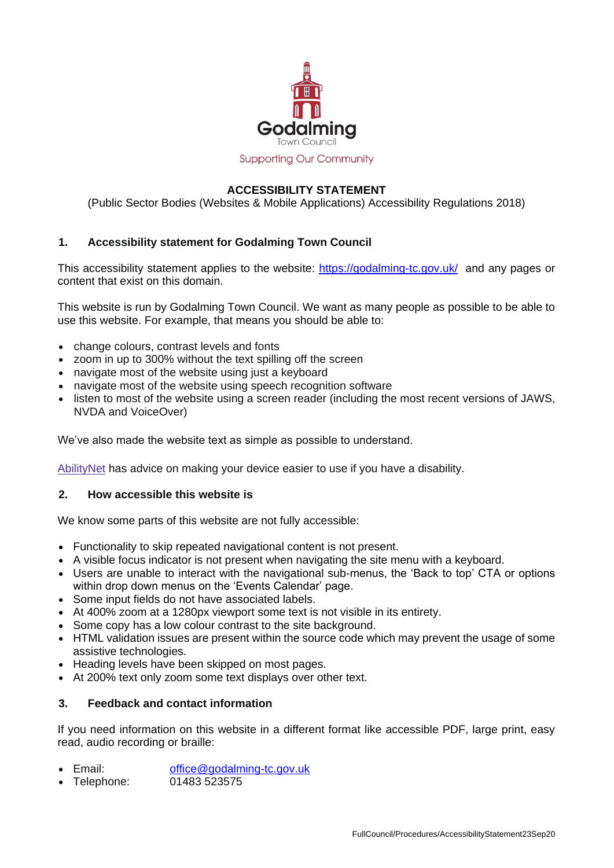

**Supporting Our Community** 

# **ACCESSIBILITY STATEMENT**

(Public Sector Bodies (Websites & Mobile Applications) Accessibility Regulations 2018)

### **1. Accessibility statement for Godalming Town Council**

This accessibility statement applies to the website:<https://godalming-tc.gov.uk/>and any pages or content that exist on this domain.

This website is run by Godalming Town Council. We want as many people as possible to be able to use this website. For example, that means you should be able to:

- change colours, contrast levels and fonts
- zoom in up to 300% without the text spilling off the screen
- navigate most of the website using just a keyboard
- navigate most of the website using speech recognition software
- listen to most of the website using a screen reader (including the most recent versions of JAWS, NVDA and VoiceOver)

We've also made the website text as simple as possible to understand.

[AbilityNet](https://mcmw.abilitynet.org.uk/) has advice on making your device easier to use if you have a disability.

#### **2. How accessible this website is**

We know some parts of this website are not fully accessible:

- Functionality to skip repeated navigational content is not present.
- A visible focus indicator is not present when navigating the site menu with a keyboard.
- Users are unable to interact with the navigational sub-menus, the 'Back to top' CTA or options within drop down menus on the 'Events Calendar' page.
- Some input fields do not have associated labels.
- At 400% zoom at a 1280px viewport some text is not visible in its entirety.
- Some copy has a low colour contrast to the site background.
- HTML validation issues are present within the source code which may prevent the usage of some assistive technologies.
- Heading levels have been skipped on most pages.
- At 200% text only zoom some text displays over other text.

### **3. Feedback and contact information**

If you need information on this website in a different format like accessible PDF, large print, easy read, audio recording or braille:

- Email: [office@godalming-tc.gov.uk](mailto:office@godalming-tc.gov.uk)
- Telephone: 01483 523575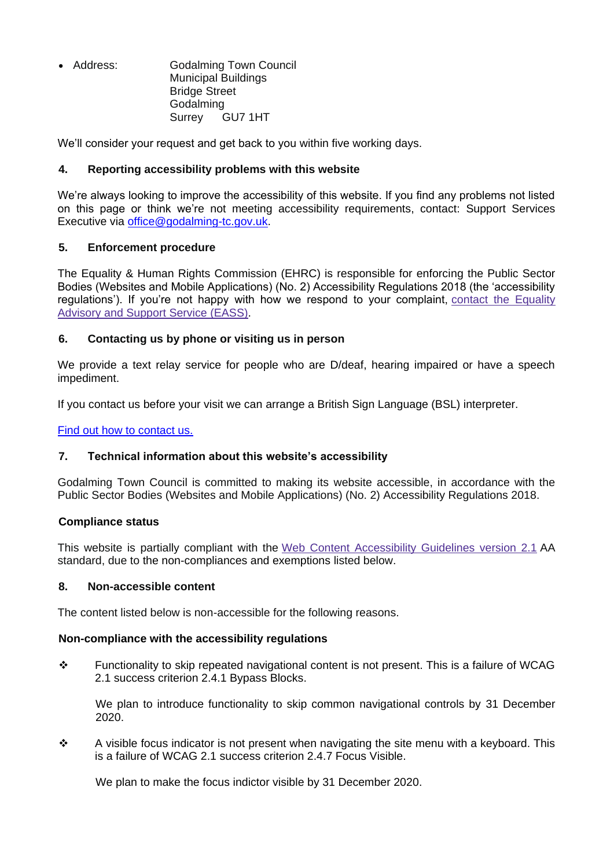Address: Godalming Town Council Municipal Buildings Bridge Street Godalming Surrey GU7 1HT

We'll consider your request and get back to you within five working days.

# **4. Reporting accessibility problems with this website**

We're always looking to improve the accessibility of this website. If you find any problems not listed on this page or think we're not meeting accessibility requirements, contact: Support Services Executive via [office@godalming-tc.gov.uk.](mailto:office@godalming-tc.gov.uk)

## **5. Enforcement procedure**

The Equality & Human Rights Commission (EHRC) is responsible for enforcing the Public Sector Bodies (Websites and Mobile Applications) (No. 2) Accessibility Regulations 2018 (the 'accessibility regulations'). If you're not happy with how we respond to your complaint, contact the [Equality](https://www.equalityadvisoryservice.com/) [Advisory](https://www.equalityadvisoryservice.com/) and Support Service (EASS).

## **6. Contacting us by phone or visiting us in person**

We provide a text relay service for people who are D/deaf, hearing impaired or have a speech impediment.

If you contact us before your visit we can arrange a British Sign Language (BSL) interpreter.

[Find out how to contact us.](https://godalming-tc.gov.uk/contact-and-report/)

### **7. Technical information about this website's accessibility**

Godalming Town Council is committed to making its website accessible, in accordance with the Public Sector Bodies (Websites and Mobile Applications) (No. 2) Accessibility Regulations 2018.

### **Compliance status**

This website is partially compliant with the Web Content [Accessibility](https://www.w3.org/TR/WCAG21/) Guidelines version 2.1 AA standard, due to the non-compliances and exemptions listed below.

### **8. Non-accessible content**

The content listed below is non-accessible for the following reasons.

### **Non-compliance with the accessibility regulations**

 Functionality to skip repeated navigational content is not present. This is a failure of WCAG 2.1 success criterion 2.4.1 Bypass Blocks.

We plan to introduce functionality to skip common navigational controls by 31 December 2020.

 $\div$  A visible focus indicator is not present when navigating the site menu with a keyboard. This is a failure of WCAG 2.1 success criterion 2.4.7 Focus Visible.

We plan to make the focus indictor visible by 31 December 2020.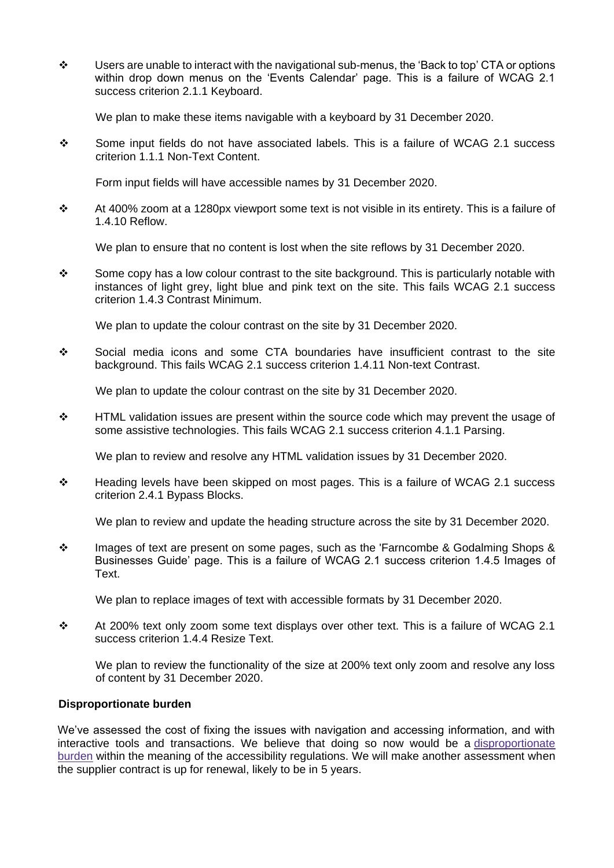$\div$  Users are unable to interact with the navigational sub-menus, the 'Back to top' CTA or options within drop down menus on the 'Events Calendar' page. This is a failure of WCAG 2.1 success criterion 2.1.1 Keyboard.

We plan to make these items navigable with a keyboard by 31 December 2020.

Some input fields do not have associated labels. This is a failure of WCAG 2.1 success criterion 1.1.1 Non-Text Content.

Form input fields will have accessible names by 31 December 2020.

 $\div$  At 400% zoom at a 1280px viewport some text is not visible in its entirety. This is a failure of 1.4.10 Reflow.

We plan to ensure that no content is lost when the site reflows by 31 December 2020.

Some copy has a low colour contrast to the site background. This is particularly notable with instances of light grey, light blue and pink text on the site. This fails WCAG 2.1 success criterion 1.4.3 Contrast Minimum.

We plan to update the colour contrast on the site by 31 December 2020.

 Social media icons and some CTA boundaries have insufficient contrast to the site background. This fails WCAG 2.1 success criterion 1.4.11 Non-text Contrast.

We plan to update the colour contrast on the site by 31 December 2020.

\* HTML validation issues are present within the source code which may prevent the usage of some assistive technologies. This fails WCAG 2.1 success criterion 4.1.1 Parsing.

We plan to review and resolve any HTML validation issues by 31 December 2020.

 $\div$  Heading levels have been skipped on most pages. This is a failure of WCAG 2.1 success criterion 2.4.1 Bypass Blocks.

We plan to review and update the heading structure across the site by 31 December 2020.

 $\div$  Images of text are present on some pages, such as the 'Farncombe & Godalming Shops & Businesses Guide' page. This is a failure of WCAG 2.1 success criterion 1.4.5 Images of Text.

We plan to replace images of text with accessible formats by 31 December 2020.

 At 200% text only zoom some text displays over other text. This is a failure of WCAG 2.1 success criterion 1.4.4 Resize Text.

We plan to review the functionality of the size at 200% text only zoom and resolve any loss of content by 31 December 2020.

### **Disproportionate burden**

We've assessed the cost of fixing the issues with navigation and accessing information, and with interactive tools and transactions. We believe that doing so now would be a [disproportionate](http://www.legislation.gov.uk/uksi/2018/952/regulation/7/made) [burden](http://www.legislation.gov.uk/uksi/2018/952/regulation/7/made) within the meaning of the accessibility regulations. We will make another assessment when the supplier contract is up for renewal, likely to be in 5 years.